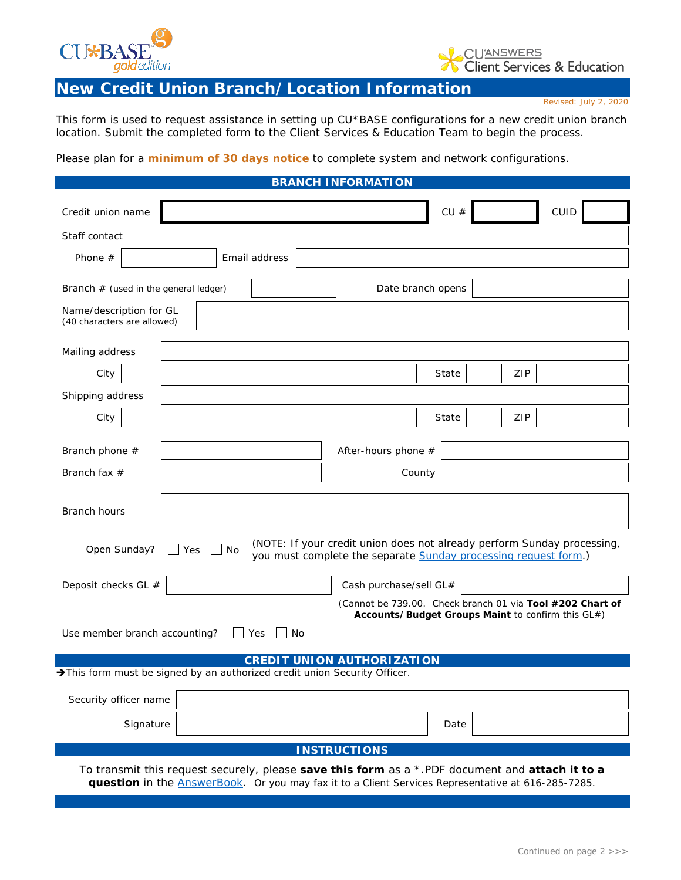



## **New Credit Union Branch/Location Information**

Revised: July 2, 2020

This form is used to request assistance in setting up CU\*BASE configurations for a new credit union branch location. Submit the completed form to the Client Services & Education Team to begin the process.

*Please plan for a minimum of 30 days notice to complete system and network configurations.*

| <b>BRANCH INFORMATION</b>                                                                                                                                                                                     |                                                                                                                |               |                        |       |     |      |  |
|---------------------------------------------------------------------------------------------------------------------------------------------------------------------------------------------------------------|----------------------------------------------------------------------------------------------------------------|---------------|------------------------|-------|-----|------|--|
| Credit union name                                                                                                                                                                                             |                                                                                                                |               |                        | CU#   |     | CUID |  |
| Staff contact                                                                                                                                                                                                 |                                                                                                                |               |                        |       |     |      |  |
| Phone #                                                                                                                                                                                                       |                                                                                                                | Email address |                        |       |     |      |  |
| Branch # (used in the general ledger)                                                                                                                                                                         |                                                                                                                |               | Date branch opens      |       |     |      |  |
| Name/description for GL<br>(40 characters are allowed)                                                                                                                                                        |                                                                                                                |               |                        |       |     |      |  |
| Mailing address                                                                                                                                                                                               |                                                                                                                |               |                        |       |     |      |  |
| City                                                                                                                                                                                                          |                                                                                                                |               |                        | State | ZIP |      |  |
| Shipping address                                                                                                                                                                                              |                                                                                                                |               |                        |       |     |      |  |
| City                                                                                                                                                                                                          |                                                                                                                |               |                        | State | ZIP |      |  |
| Branch phone #                                                                                                                                                                                                |                                                                                                                |               | After-hours phone #    |       |     |      |  |
| Branch fax #                                                                                                                                                                                                  |                                                                                                                |               | County                 |       |     |      |  |
| Branch hours                                                                                                                                                                                                  |                                                                                                                |               |                        |       |     |      |  |
| (NOTE: If your credit union does not already perform Sunday processing,<br>Open Sunday?<br>Yes<br>l No<br>you must complete the separate Sunday processing request form.)                                     |                                                                                                                |               |                        |       |     |      |  |
| Deposit checks GL #                                                                                                                                                                                           |                                                                                                                |               | Cash purchase/sell GL# |       |     |      |  |
|                                                                                                                                                                                                               | (Cannot be 739.00. Check branch 01 via Tool #202 Chart of<br>Accounts/Budget Groups Maint to confirm this GL#) |               |                        |       |     |      |  |
| Use member branch accounting?<br>Yes<br>$\overline{\phantom{a}}$ No                                                                                                                                           |                                                                                                                |               |                        |       |     |      |  |
| <b>CREDIT UNION AUTHORIZATION</b><br>>This form must be signed by an authorized credit union Security Officer.                                                                                                |                                                                                                                |               |                        |       |     |      |  |
| Security officer name                                                                                                                                                                                         |                                                                                                                |               |                        |       |     |      |  |
| Signature                                                                                                                                                                                                     |                                                                                                                |               |                        | Date  |     |      |  |
| <b>INSTRUCTIONS</b>                                                                                                                                                                                           |                                                                                                                |               |                        |       |     |      |  |
| To transmit this request securely, please save this form as a *.PDF document and attach it to a<br>question in the <b>AnswerBook</b> . Or you may fax it to a Client Services Representative at 616-285-7285. |                                                                                                                |               |                        |       |     |      |  |